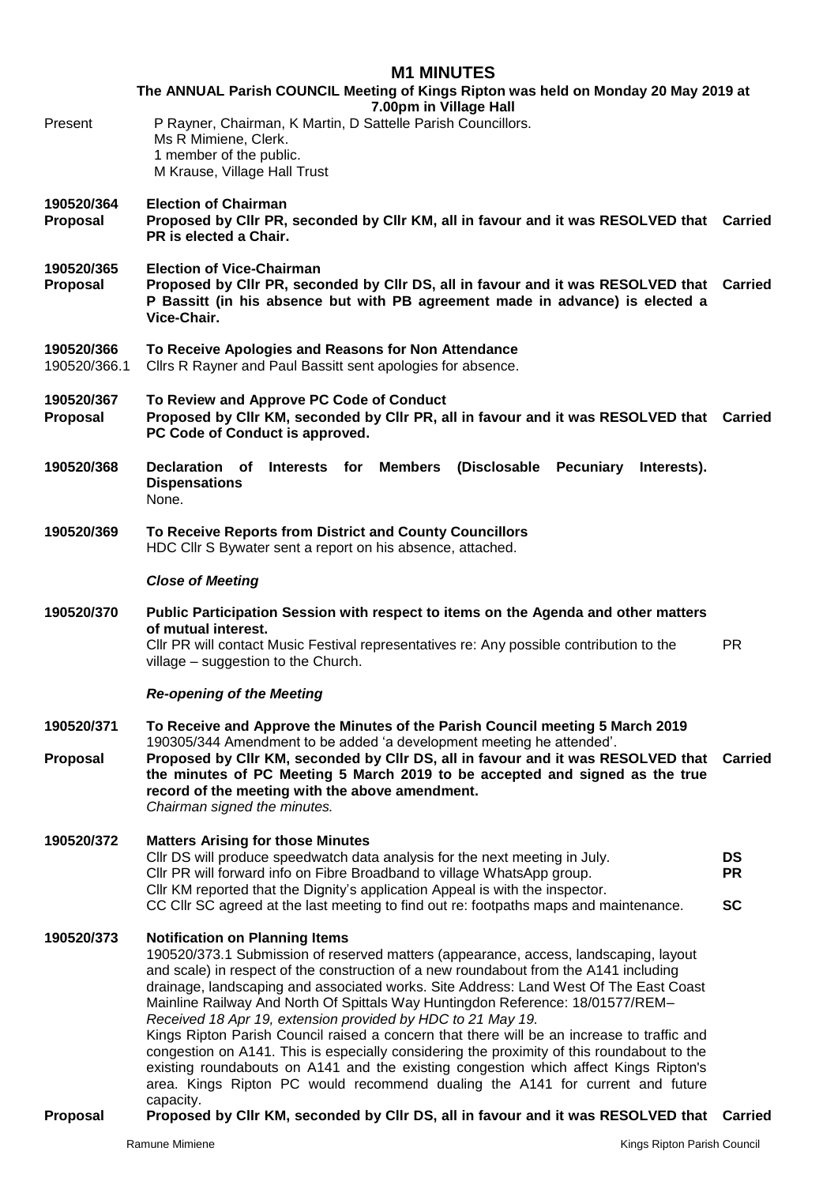### **M1 MINUTES**

**The ANNUAL Parish COUNCIL Meeting of Kings Ripton was held on Monday 20 May 2019 at 7.00pm in Village Hall** Present P Rayner, Chairman, K Martin, D Sattelle Parish Councillors. Ms R Mimiene, Clerk. 1 member of the public. M Krause, Village Hall Trust

- **190520/364 Election of Chairman**
- **Proposal Proposed by Cllr PR, seconded by Cllr KM, all in favour and it was RESOLVED that Carried PR is elected a Chair.**
- **190520/365 Election of Vice-Chairman**
- **Proposal Proposed by Cllr PR, seconded by Cllr DS, all in favour and it was RESOLVED that Carried P Bassitt (in his absence but with PB agreement made in advance) is elected a Vice-Chair.**
- **190520/366 To Receive Apologies and Reasons for Non Attendance**
- Cllrs R Rayner and Paul Bassitt sent apologies for absence.
- **190520/367 To Review and Approve PC Code of Conduct Proposal Proposed by Cllr KM, seconded by Cllr PR, all in favour and it was RESOLVED that Carried PC Code of Conduct is approved.**
- **190520/368 Declaration of Interests for Members (Disclosable Pecuniary Interests). Dispensations** None.
- **190520/369 To Receive Reports from District and County Councillors** HDC Cllr S Bywater sent a report on his absence, attached.

### *Close of Meeting*

**190520/370 Public Participation Session with respect to items on the Agenda and other matters of mutual interest.**  Cllr PR will contact Music Festival representatives re: Any possible contribution to the village – suggestion to the Church. PR

### *Re-opening of the Meeting*

**190520/371 To Receive and Approve the Minutes of the Parish Council meeting 5 March 2019** 190305/344 Amendment to be added 'a development meeting he attended'. **Proposal Proposed by Cllr KM, seconded by Cllr DS, all in favour and it was RESOLVED that Carried the minutes of PC Meeting 5 March 2019 to be accepted and signed as the true record of the meeting with the above amendment.** *Chairman signed the minutes.*

## **190520/372 Matters Arising for those Minutes**

Cllr DS will produce speedwatch data analysis for the next meeting in July. **DS** Cllr PR will forward info on Fibre Broadband to village WhatsApp group. Cllr KM reported that the Dignity's application Appeal is with the inspector. **PR** CC Cllr SC agreed at the last meeting to find out re: footpaths maps and maintenance. **SC**

### **190520/373 Notification on Planning Items**

190520/373.1 Submission of reserved matters (appearance, access, landscaping, layout and scale) in respect of the construction of a new roundabout from the A141 including drainage, landscaping and associated works. Site Address: Land West Of The East Coast Mainline Railway And North Of Spittals Way Huntingdon Reference: 18/01577/REM– *Received 18 Apr 19, extension provided by HDC to 21 May 19.*

Kings Ripton Parish Council raised a concern that there will be an increase to traffic and congestion on A141. This is especially considering the proximity of this roundabout to the existing roundabouts on A141 and the existing congestion which affect Kings Ripton's area. Kings Ripton PC would recommend dualing the A141 for current and future capacity.

**Proposal Proposed by Cllr KM, seconded by Cllr DS, all in favour and it was RESOLVED that Carried**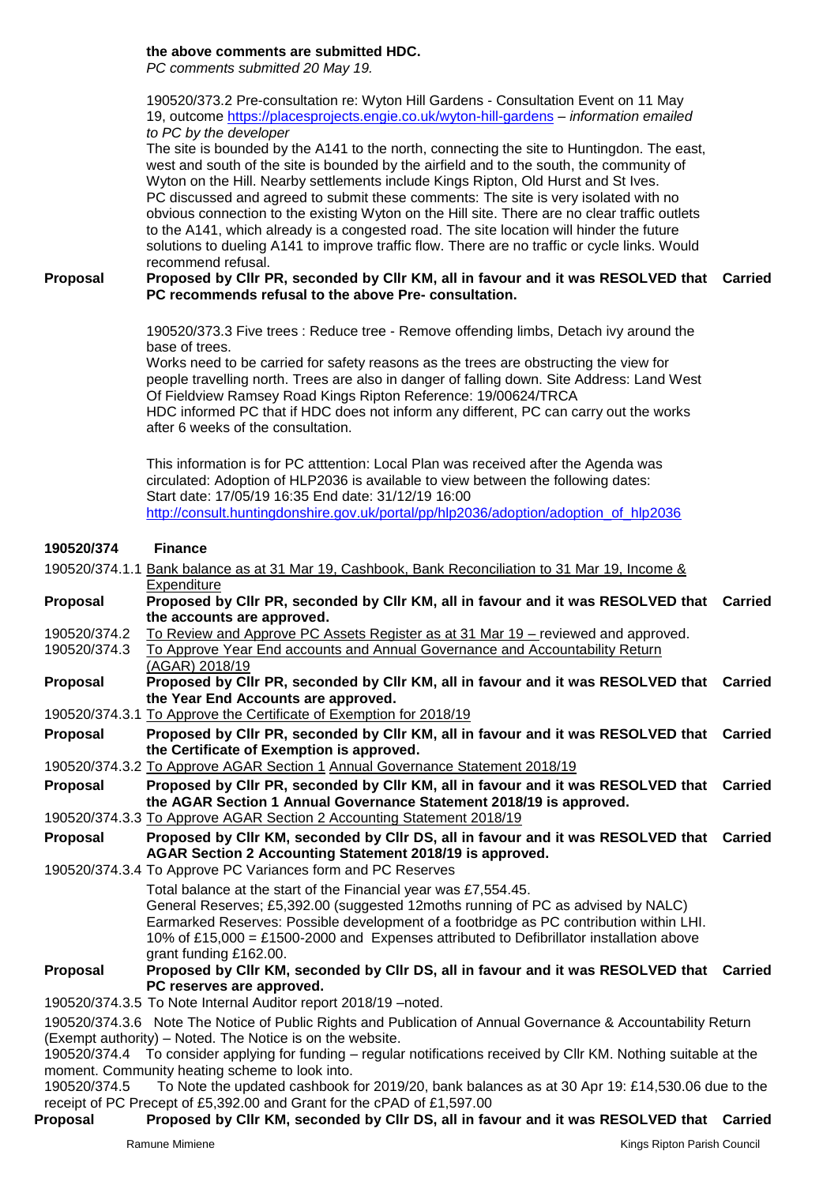## **the above comments are submitted HDC.**

*PC comments submitted 20 May 19.* 

190520/373.2 Pre-consultation re: Wyton Hill Gardens - Consultation Event on 11 May 19, outcome<https://placesprojects.engie.co.uk/wyton-hill-gardens> – *information emailed to PC by the developer*

The site is bounded by the A141 to the north, connecting the site to Huntingdon. The east, west and south of the site is bounded by the airfield and to the south, the community of Wyton on the Hill. Nearby settlements include Kings Ripton, Old Hurst and St Ives. PC discussed and agreed to submit these comments: The site is very isolated with no obvious connection to the existing Wyton on the Hill site. There are no clear traffic outlets to the A141, which already is a congested road. The site location will hinder the future solutions to dueling A141 to improve traffic flow. There are no traffic or cycle links. Would recommend refusal.

**Proposal Proposed by Cllr PR, seconded by Cllr KM, all in favour and it was RESOLVED that Carried PC recommends refusal to the above Pre- consultation.**

> 190520/373.3 Five trees : Reduce tree - Remove offending limbs, Detach ivy around the base of trees.

Works need to be carried for safety reasons as the trees are obstructing the view for people travelling north. Trees are also in danger of falling down. Site Address: Land West Of Fieldview Ramsey Road Kings Ripton Reference: 19/00624/TRCA HDC informed PC that if HDC does not inform any different, PC can carry out the works after 6 weeks of the consultation.

This information is for PC atttention: Local Plan was received after the Agenda was circulated: Adoption of HLP2036 is available to view between the following dates: Start date: 17/05/19 16:35 End date: 31/12/19 16:00 [http://consult.huntingdonshire.gov.uk/portal/pp/hlp2036/adoption/adoption\\_of\\_hlp2036](https://u6693381.ct.sendgrid.net/wf/click?upn=rNT54oRZURrmZcSaNpPyXfi-2BYUmquiOi2UJAuUrEAWbQPGdFjS4TxoAocF3lOA7uy8JpKu6IbenT0nO2NuU9jTzv-2FMFJD4IUhcQ4R4V2lzAXPjclfYCaOmmd-2FaLwdqIP_CkMQWKlCuaO7kilmqIo-2FPo85m3TJQ-2FBvu0uJ8IbQh9jrjB6F-2BkfW7kz63vDqKFKBPf9HCV0BSqcfZA-2FSafbVZZdpRuA9R2xFLfCrPi2XYY642zuOzsXG8nkdBzfEApeNJUkCJiuLmhoSOF-2FTFDJ94nSj3MDRMehWN6IpHxmRGvLuUkA0wzn4xGF4Jkp4fKpHzjttAleLW32QdxGLMTkNfkxHur0xXZ7utH5ApngXUpc-3D)

#### **190520/374 Finance**

|                                                                        | 190520/374.1.1 Bank balance as at 31 Mar 19, Cashbook, Bank Reconciliation to 31 Mar 19, Income &                                                                                  |  |
|------------------------------------------------------------------------|------------------------------------------------------------------------------------------------------------------------------------------------------------------------------------|--|
|                                                                        | Expenditure                                                                                                                                                                        |  |
| Proposal                                                               | Proposed by Cllr PR, seconded by Cllr KM, all in favour and it was RESOLVED that Carried                                                                                           |  |
|                                                                        | the accounts are approved.                                                                                                                                                         |  |
| 190520/374.2                                                           | To Review and Approve PC Assets Register as at 31 Mar 19 – reviewed and approved.                                                                                                  |  |
| 190520/374.3                                                           | To Approve Year End accounts and Annual Governance and Accountability Return                                                                                                       |  |
|                                                                        | (AGAR) 2018/19                                                                                                                                                                     |  |
| Proposal                                                               | Proposed by Cllr PR, seconded by Cllr KM, all in favour and it was RESOLVED that Carried                                                                                           |  |
|                                                                        | the Year End Accounts are approved.                                                                                                                                                |  |
|                                                                        | 190520/374.3.1 To Approve the Certificate of Exemption for 2018/19                                                                                                                 |  |
| Proposal                                                               | Proposed by Cllr PR, seconded by Cllr KM, all in favour and it was RESOLVED that Carried                                                                                           |  |
|                                                                        | the Certificate of Exemption is approved.                                                                                                                                          |  |
|                                                                        | 190520/374.3.2 To Approve AGAR Section 1 Annual Governance Statement 2018/19                                                                                                       |  |
| Proposal                                                               | Proposed by Cllr PR, seconded by Cllr KM, all in favour and it was RESOLVED that Carried                                                                                           |  |
|                                                                        | the AGAR Section 1 Annual Governance Statement 2018/19 is approved.                                                                                                                |  |
|                                                                        | 190520/374.3.3 To Approve AGAR Section 2 Accounting Statement 2018/19                                                                                                              |  |
| Proposal                                                               | Proposed by Cllr KM, seconded by Cllr DS, all in favour and it was RESOLVED that Carried                                                                                           |  |
|                                                                        | AGAR Section 2 Accounting Statement 2018/19 is approved.                                                                                                                           |  |
|                                                                        | 190520/374.3.4 To Approve PC Variances form and PC Reserves                                                                                                                        |  |
|                                                                        | Total balance at the start of the Financial year was £7,554.45.                                                                                                                    |  |
|                                                                        | General Reserves; £5,392.00 (suggested 12moths running of PC as advised by NALC)                                                                                                   |  |
|                                                                        | Earmarked Reserves: Possible development of a footbridge as PC contribution within LHI.<br>10% of £15,000 = £1500-2000 and Expenses attributed to Defibrillator installation above |  |
|                                                                        | grant funding £162.00.                                                                                                                                                             |  |
| Proposal                                                               | Proposed by Cllr KM, seconded by Cllr DS, all in favour and it was RESOLVED that Carried                                                                                           |  |
|                                                                        | PC reserves are approved.                                                                                                                                                          |  |
|                                                                        | 190520/374.3.5 To Note Internal Auditor report 2018/19 - noted.                                                                                                                    |  |
|                                                                        | 190520/374.3.6 Note The Notice of Public Rights and Publication of Annual Governance & Accountability Return                                                                       |  |
|                                                                        | (Exempt authority) – Noted. The Notice is on the website.                                                                                                                          |  |
|                                                                        | 190520/374.4 To consider applying for funding – regular notifications received by Cllr KM. Nothing suitable at the                                                                 |  |
|                                                                        | moment. Community heating scheme to look into.                                                                                                                                     |  |
| 190520/374.5                                                           | To Note the updated cashbook for 2019/20, bank balances as at 30 Apr 19: £14,530.06 due to the                                                                                     |  |
| receipt of PC Precept of £5,392.00 and Grant for the cPAD of £1,597.00 |                                                                                                                                                                                    |  |
| Proposal                                                               | Proposed by Cllr KM, seconded by Cllr DS, all in favour and it was RESOLVED that Carried                                                                                           |  |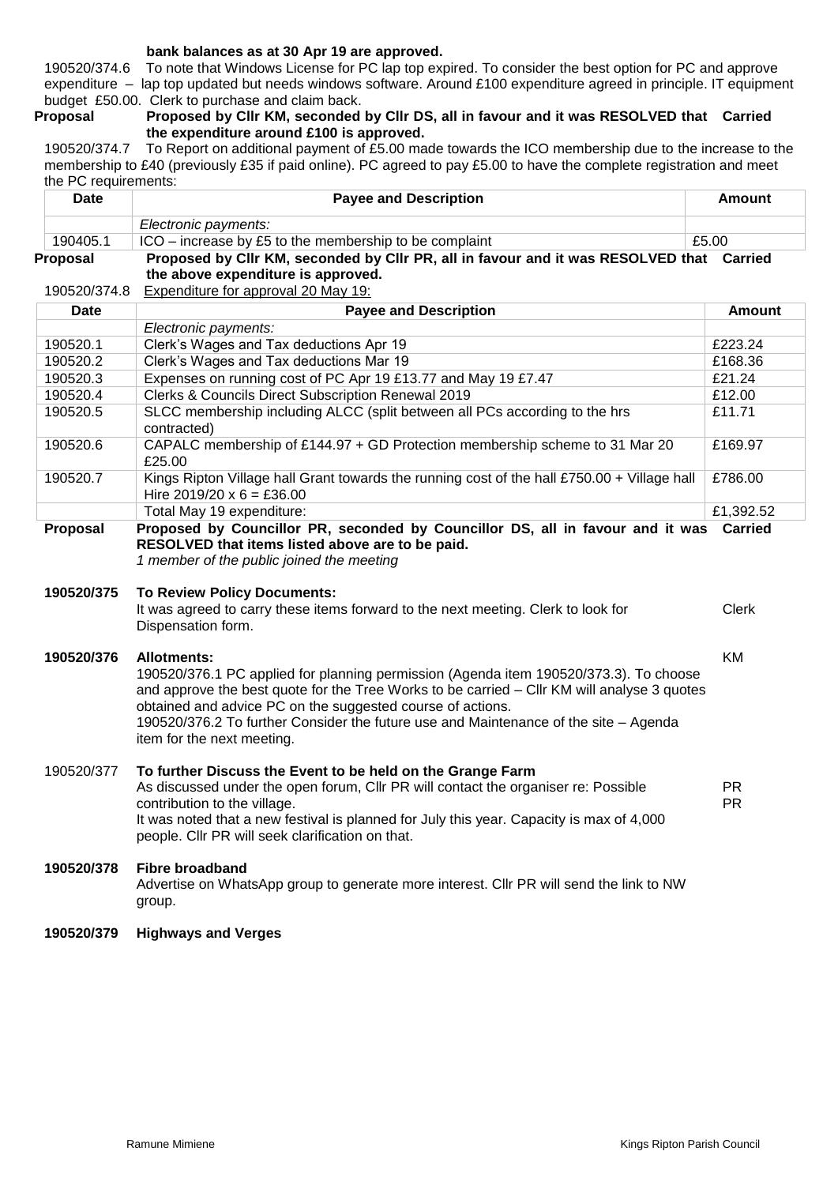### **bank balances as at 30 Apr 19 are approved.**

190520/374.6 To note that Windows License for PC lap top expired. To consider the best option for PC and approve expenditure – lap top updated but needs windows software. Around £100 expenditure agreed in principle. IT equipment budget £50.00. Clerk to purchase and claim back.

### **Proposal Proposed by Cllr KM, seconded by Cllr DS, all in favour and it was RESOLVED that Carried the expenditure around £100 is approved.**

190520/374.7 To Report on additional payment of £5.00 made towards the ICO membership due to the increase to the membership to £40 (previously £35 if paid online). PC agreed to pay £5.00 to have the complete registration and meet the PC requirements:

| <b>Date</b>              | <b>Payee and Description</b>                                                                                                                                          | Amount        |
|--------------------------|-----------------------------------------------------------------------------------------------------------------------------------------------------------------------|---------------|
|                          | Electronic payments:                                                                                                                                                  |               |
| 190405.1                 | ICO – increase by £5 to the membership to be complaint                                                                                                                | £5.00         |
| Proposal<br>190520/374.8 | Proposed by Cllr KM, seconded by Cllr PR, all in favour and it was RESOLVED that Carried<br>the above expenditure is approved.<br>Expenditure for approval 20 May 19: |               |
| Date                     | <b>Payee and Description</b>                                                                                                                                          | <b>Amount</b> |
|                          | Electronic payments:                                                                                                                                                  |               |
| 190520.1                 | Clerk's Wages and Tax deductions Apr 19                                                                                                                               | £223.24       |
| 190520.2                 | Clerk's Wages and Tax deductions Mar 19                                                                                                                               | £168.36       |
| 190520.3                 | Expenses on running cost of PC Apr 19 £13.77 and May 19 £7.47                                                                                                         | £21.24        |
| 190520.4                 | <b>Clerks &amp; Councils Direct Subscription Renewal 2019</b>                                                                                                         | £12.00        |
| 190520.5                 | SLCC membership including ALCC (split between all PCs according to the hrs<br>contracted)                                                                             | £11.71        |
| 190520.6                 | CAPALC membership of £144.97 + GD Protection membership scheme to 31 Mar 20<br>£25.00                                                                                 | £169.97       |
| 190520.7                 | Kings Ripton Village hall Grant towards the running cost of the hall £750.00 + Village hall<br>Hire $2019/20 \times 6 = £36.00$                                       | £786.00       |
|                          | Total May 19 expenditure:                                                                                                                                             | £1,392.52     |

# **Proposal Proposed by Councillor PR, seconded by Councillor DS, all in favour and it was Carried RESOLVED that items listed above are to be paid.**

*1 member of the public joined the meeting* 

### **190520/375 To Review Policy Documents:**

It was agreed to carry these items forward to the next meeting. Clerk to look for Dispensation form.

## **190520/376 Allotments:**

190520/376.1 PC applied for planning permission (Agenda item 190520/373.3). To choose and approve the best quote for the Tree Works to be carried – Cllr KM will analyse 3 quotes obtained and advice PC on the suggested course of actions. 190520/376.2 To further Consider the future use and Maintenance of the site – Agenda item for the next meeting.

## 190520/377 **To further Discuss the Event to be held on the Grange Farm**

| As discussed under the open forum, CIIr PR will contact the organiser re: Possible                                                           | PR. |
|----------------------------------------------------------------------------------------------------------------------------------------------|-----|
| contribution to the village.                                                                                                                 | PR  |
| It was noted that a new festival is planned for July this year. Capacity is max of 4,000<br>people. Cllr PR will seek clarification on that. |     |

## **190520/378 Fibre broadband** Advertise on WhatsApp group to generate more interest. Cllr PR will send the link to NW group.

## **190520/379 Highways and Verges**

Clerk

KM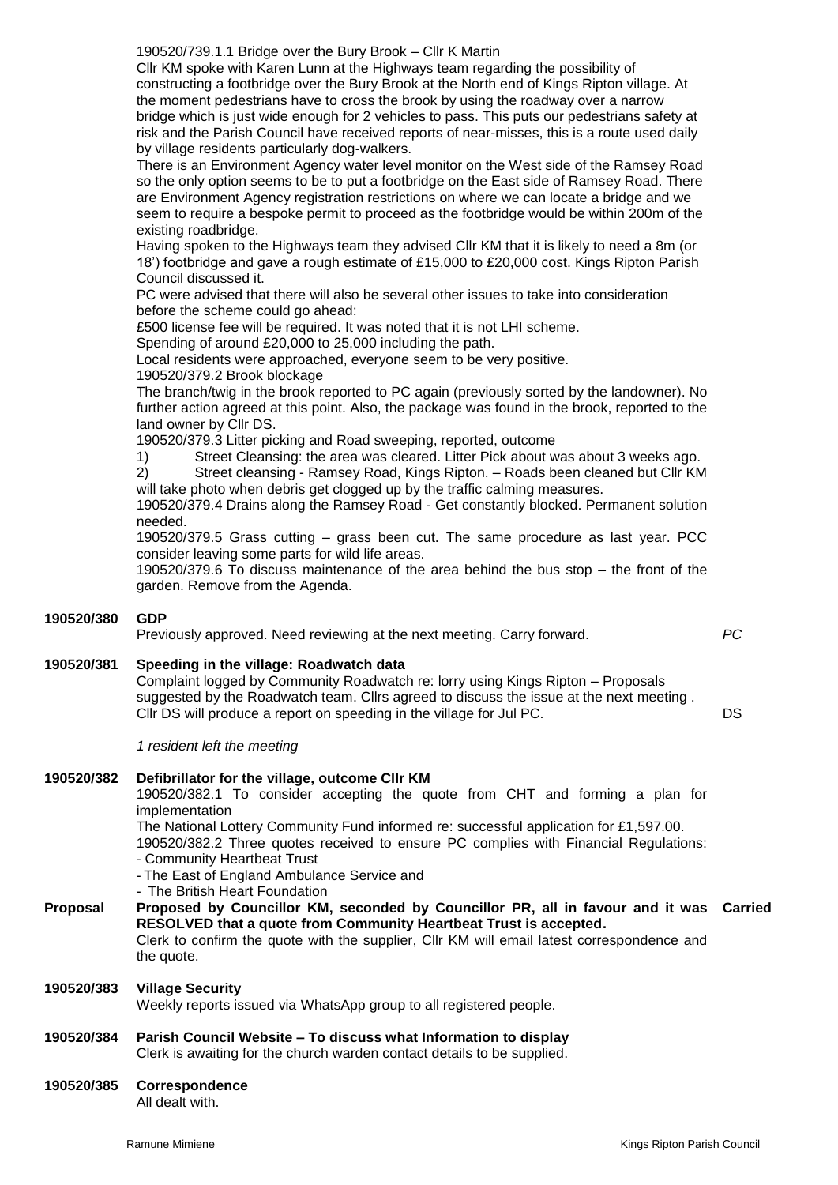190520/739.1.1 Bridge over the Bury Brook – Cllr K Martin

Cllr KM spoke with Karen Lunn at the Highways team regarding the possibility of constructing a footbridge over the Bury Brook at the North end of Kings Ripton village. At the moment pedestrians have to cross the brook by using the roadway over a narrow bridge which is just wide enough for 2 vehicles to pass. This puts our pedestrians safety at risk and the Parish Council have received reports of near-misses, this is a route used daily by village residents particularly dog-walkers.

There is an Environment Agency water level monitor on the West side of the Ramsey Road so the only option seems to be to put a footbridge on the East side of Ramsey Road. There are Environment Agency registration restrictions on where we can locate a bridge and we seem to require a bespoke permit to proceed as the footbridge would be within 200m of the existing roadbridge.

Having spoken to the Highways team they advised Cllr KM that it is likely to need a 8m (or 18') footbridge and gave a rough estimate of £15,000 to £20,000 cost. Kings Ripton Parish Council discussed it.

PC were advised that there will also be several other issues to take into consideration before the scheme could go ahead:

£500 license fee will be required. It was noted that it is not LHI scheme.

Spending of around £20,000 to 25,000 including the path.

Local residents were approached, everyone seem to be very positive.

190520/379.2 Brook blockage

The branch/twig in the brook reported to PC again (previously sorted by the landowner). No further action agreed at this point. Also, the package was found in the brook, reported to the land owner by Cllr DS.

190520/379.3 Litter picking and Road sweeping, reported, outcome

1) Street Cleansing: the area was cleared. Litter Pick about was about 3 weeks ago.

2) Street cleansing - Ramsey Road, Kings Ripton. – Roads been cleaned but Cllr KM will take photo when debris get clogged up by the traffic calming measures. 190520/379.4 Drains along the Ramsey Road - Get constantly blocked. Permanent solution

needed. 190520/379.5 Grass cutting – grass been cut. The same procedure as last year. PCC consider leaving some parts for wild life areas.

190520/379.6 To discuss maintenance of the area behind the bus stop – the front of the garden. Remove from the Agenda.

### **190520/380 GDP**

Previously approved. Need reviewing at the next meeting. Carry forward. *PC*

- 
- **190520/381 Speeding in the village: Roadwatch data** Complaint logged by Community Roadwatch re: lorry using Kings Ripton – Proposals suggested by the Roadwatch team. Cllrs agreed to discuss the issue at the next meeting . Cllr DS will produce a report on speeding in the village for Jul PC. DS

*1 resident left the meeting*

## **190520/382 Defibrillator for the village, outcome Cllr KM** 190520/382.1 To consider accepting the quote from CHT and forming a plan for implementation The National Lottery Community Fund informed re: successful application for £1,597.00. 190520/382.2 Three quotes received to ensure PC complies with Financial Regulations: - Community Heartbeat Trust - The East of England Ambulance Service and - The British Heart Foundation **Proposal Proposed by Councillor KM, seconded by Councillor PR, all in favour and it was Carried RESOLVED that a quote from Community Heartbeat Trust is accepted.** Clerk to confirm the quote with the supplier, Cllr KM will email latest correspondence and the quote. **190520/383 Village Security** Weekly reports issued via WhatsApp group to all registered people. **190520/384 Parish Council Website – To discuss what Information to display** Clerk is awaiting for the church warden contact details to be supplied. **190520/385 Correspondence**

All dealt with.